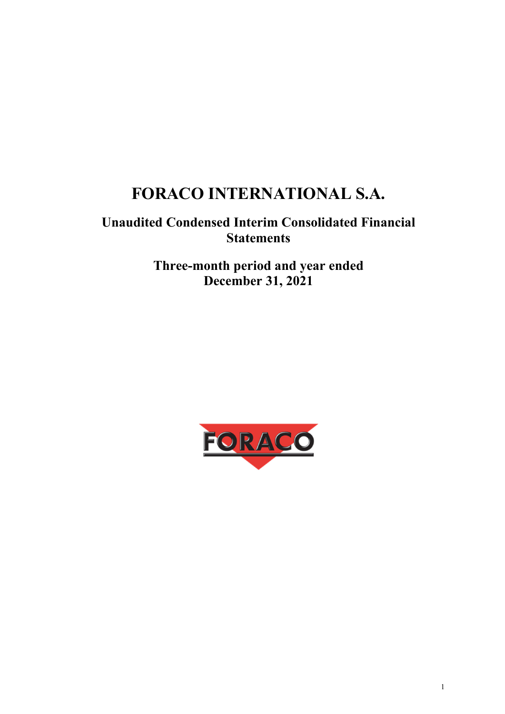# **FORACO INTERNATIONAL S.A.**

## **Unaudited Condensed Interim Consolidated Financial Statements**

**Three-month period and year ended December 31, 2021** 

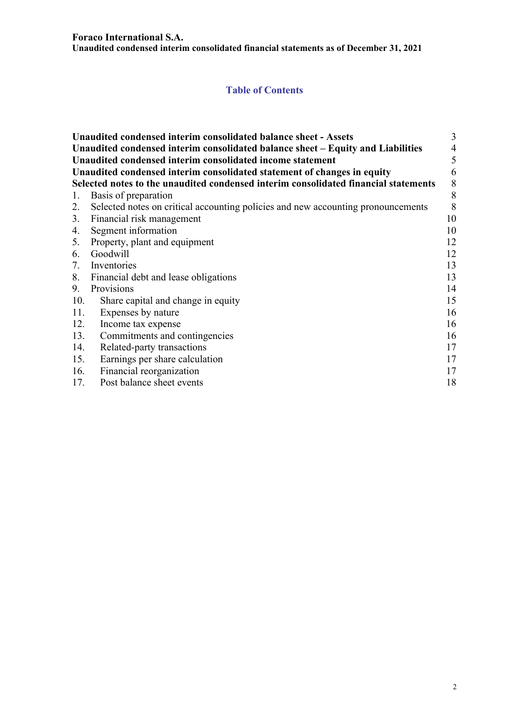**Unaudited condensed interim consolidated financial statements as of December 31, 2021** 

## **Table of Contents**

|     | Unaudited condensed interim consolidated balance sheet - Assets                     | 3                        |
|-----|-------------------------------------------------------------------------------------|--------------------------|
|     | Unaudited condensed interim consolidated balance sheet – Equity and Liabilities     | $\overline{\mathcal{A}}$ |
|     | Unaudited condensed interim consolidated income statement                           | 5                        |
|     | Unaudited condensed interim consolidated statement of changes in equity             | 6                        |
|     | Selected notes to the unaudited condensed interim consolidated financial statements | 8                        |
| 1.  | Basis of preparation                                                                | 8                        |
| 2.  | Selected notes on critical accounting policies and new accounting pronouncements    | 8                        |
| 3.  | Financial risk management                                                           | 10                       |
| 4.  | Segment information                                                                 | 10                       |
|     | 5. Property, plant and equipment                                                    | 12                       |
| 6.  | Goodwill                                                                            | 12                       |
| 7.  | Inventories                                                                         | 13                       |
| 8.  | Financial debt and lease obligations                                                | 13                       |
| 9.  | Provisions                                                                          | 14                       |
| 10. | Share capital and change in equity                                                  | 15                       |
| 11. | Expenses by nature                                                                  | 16                       |
| 12. | Income tax expense                                                                  | 16                       |
| 13. | Commitments and contingencies                                                       | 16                       |
| 14. | Related-party transactions                                                          | 17                       |
| 15. | Earnings per share calculation                                                      | 17                       |
| 16. | Financial reorganization                                                            | 17                       |
| 17. | Post balance sheet events                                                           | 18                       |
|     |                                                                                     |                          |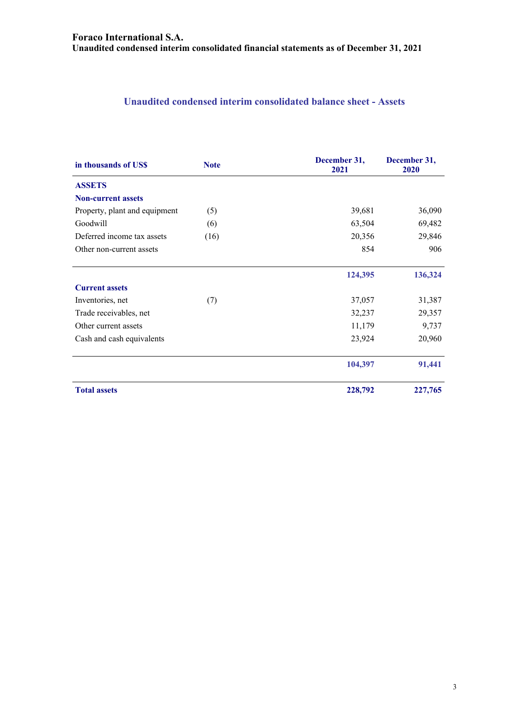**Unaudited condensed interim consolidated financial statements as of December 31, 2021** 

## **Unaudited condensed interim consolidated balance sheet - Assets**

| in thousands of US\$          | December 31,<br><b>Note</b><br>2021 |         | December 31,<br>2020 |
|-------------------------------|-------------------------------------|---------|----------------------|
| <b>ASSETS</b>                 |                                     |         |                      |
| <b>Non-current assets</b>     |                                     |         |                      |
| Property, plant and equipment | (5)                                 | 39,681  | 36,090               |
| Goodwill                      | (6)                                 | 63,504  | 69,482               |
| Deferred income tax assets    | (16)                                | 20,356  | 29,846               |
| Other non-current assets      |                                     | 854     | 906                  |
|                               |                                     | 124,395 | 136,324              |
| <b>Current assets</b>         |                                     |         |                      |
| Inventories, net              | (7)                                 | 37,057  | 31,387               |
| Trade receivables, net        |                                     | 32,237  | 29,357               |
| Other current assets          |                                     | 11,179  | 9,737                |
| Cash and cash equivalents     |                                     | 23,924  | 20,960               |
|                               |                                     | 104,397 | 91,441               |
| <b>Total assets</b>           |                                     | 228,792 | 227,765              |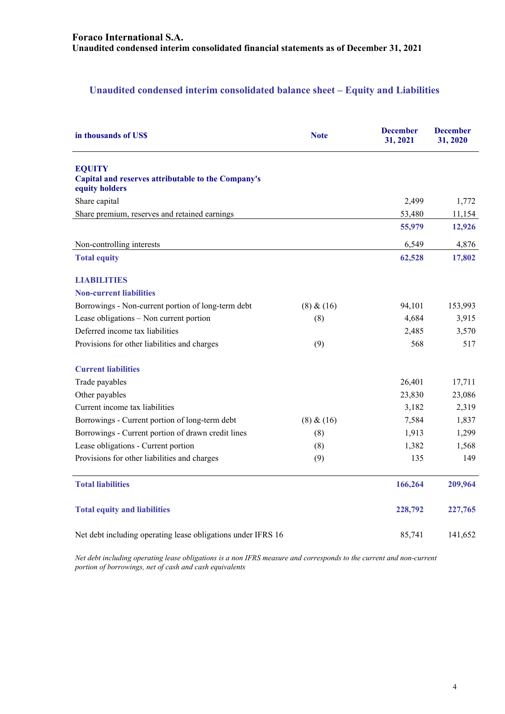## **Unaudited condensed interim consolidated balance sheet – Equity and Liabilities**

| in thousands of USS                                                                   | <b>Note</b> | <b>December</b><br>31, 2021 | <b>December</b><br>31, 2020 |
|---------------------------------------------------------------------------------------|-------------|-----------------------------|-----------------------------|
| <b>EQUITY</b><br>Capital and reserves attributable to the Company's<br>equity holders |             |                             |                             |
| Share capital                                                                         |             | 2,499                       | 1,772                       |
| Share premium, reserves and retained earnings                                         |             | 53,480                      | 11,154                      |
|                                                                                       |             | 55,979                      | 12,926                      |
| Non-controlling interests                                                             |             | 6,549                       | 4,876                       |
| <b>Total equity</b>                                                                   |             | 62,528                      | 17,802                      |
| <b>LIABILITIES</b>                                                                    |             |                             |                             |
| <b>Non-current liabilities</b>                                                        |             |                             |                             |
| Borrowings - Non-current portion of long-term debt                                    | (8) & (16)  | 94,101                      | 153,993                     |
| Lease obligations - Non current portion                                               | (8)         | 4,684                       | 3,915                       |
| Deferred income tax liabilities                                                       |             | 2,485                       | 3,570                       |
| Provisions for other liabilities and charges                                          | (9)         | 568                         | 517                         |
| <b>Current liabilities</b>                                                            |             |                             |                             |
| Trade payables                                                                        |             | 26,401                      | 17,711                      |
| Other payables                                                                        |             | 23,830                      | 23,086                      |
| Current income tax liabilities                                                        |             | 3,182                       | 2,319                       |
| Borrowings - Current portion of long-term debt                                        | (8) & (16)  | 7,584                       | 1,837                       |
| Borrowings - Current portion of drawn credit lines                                    | (8)         | 1,913                       | 1,299                       |
| Lease obligations - Current portion                                                   | (8)         | 1,382                       | 1,568                       |
| Provisions for other liabilities and charges                                          | (9)         | 135                         | 149                         |
| <b>Total liabilities</b>                                                              |             | 166,264                     | 209,964                     |
| <b>Total equity and liabilities</b>                                                   |             | 228,792                     | 227,765                     |
| Net debt including operating lease obligations under IFRS 16                          |             | 85,741                      | 141,652                     |

*Net debt including operating lease obligations is a non IFRS measure and corresponds to the current and non-current portion of borrowings, net of cash and cash equivalents*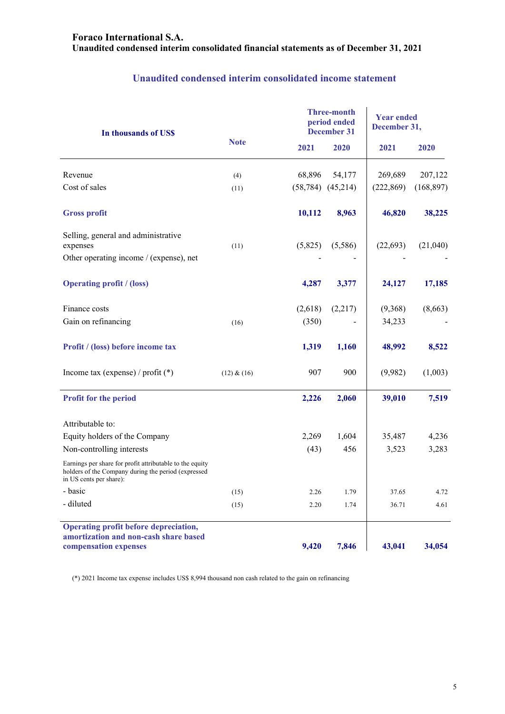| In thousands of US\$                                                                                                                       |             |         | <b>Three-month</b><br>period ended<br><b>December 31</b> | <b>Year ended</b><br>December 31, |            |
|--------------------------------------------------------------------------------------------------------------------------------------------|-------------|---------|----------------------------------------------------------|-----------------------------------|------------|
|                                                                                                                                            | <b>Note</b> | 2021    | 2020                                                     | 2021                              | 2020       |
| Revenue                                                                                                                                    | (4)         | 68,896  | 54,177                                                   | 269,689                           | 207,122    |
| Cost of sales                                                                                                                              | (11)        |         | $(58, 784)$ $(45, 214)$                                  | (222, 869)                        | (168, 897) |
| <b>Gross profit</b>                                                                                                                        |             | 10,112  | 8,963                                                    | 46,820                            | 38,225     |
| Selling, general and administrative<br>expenses                                                                                            | (11)        | (5,825) | (5,586)                                                  | (22, 693)                         | (21,040)   |
| Other operating income / (expense), net                                                                                                    |             |         |                                                          |                                   |            |
| <b>Operating profit / (loss)</b>                                                                                                           |             | 4,287   | 3,377                                                    | 24,127                            | 17,185     |
| Finance costs                                                                                                                              |             | (2,618) | (2,217)                                                  | (9,368)                           | (8,663)    |
| Gain on refinancing                                                                                                                        | (16)        | (350)   |                                                          | 34,233                            |            |
| Profit / (loss) before income tax                                                                                                          |             | 1,319   | 1,160                                                    | 48,992                            | 8,522      |
| Income tax (expense) / profit $(*)$                                                                                                        | (12) & (16) | 907     | 900                                                      | (9,982)                           | (1,003)    |
| <b>Profit for the period</b>                                                                                                               |             | 2,226   | 2,060                                                    | 39,010                            | 7,519      |
| Attributable to:                                                                                                                           |             |         |                                                          |                                   |            |
| Equity holders of the Company                                                                                                              |             | 2,269   | 1,604                                                    | 35,487                            | 4,236      |
| Non-controlling interests                                                                                                                  |             | (43)    | 456                                                      | 3,523                             | 3,283      |
| Earnings per share for profit attributable to the equity<br>holders of the Company during the period (expressed<br>in US cents per share): |             |         |                                                          |                                   |            |
| - basic                                                                                                                                    | (15)        | 2.26    | 1.79                                                     | 37.65                             | 4.72       |
| - diluted                                                                                                                                  | (15)        | 2.20    | 1.74                                                     | 36.71                             | 4.61       |
| Operating profit before depreciation,<br>amortization and non-cash share based<br>compensation expenses                                    |             | 9,420   | 7,846                                                    | 43,041                            | 34,054     |

## **Unaudited condensed interim consolidated income statement**

(\*) 2021 Income tax expense includes US\$ 8,994 thousand non cash related to the gain on refinancing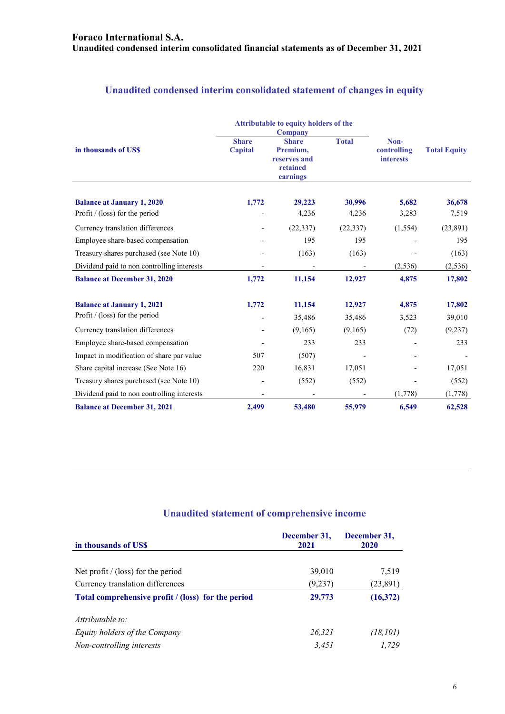## **Unaudited condensed interim consolidated statement of changes in equity**

|                                            |                                                                                                             | Attributable to equity holders of the<br>Company |                                         |                     |          |
|--------------------------------------------|-------------------------------------------------------------------------------------------------------------|--------------------------------------------------|-----------------------------------------|---------------------|----------|
| in thousands of US\$                       | <b>Total</b><br><b>Share</b><br><b>Share</b><br>Capital<br>Premium,<br>reserves and<br>retained<br>earnings |                                                  | Non-<br>controlling<br><b>interests</b> | <b>Total Equity</b> |          |
| <b>Balance at January 1, 2020</b>          | 1,772                                                                                                       | 29,223                                           | 30,996                                  | 5,682               | 36,678   |
| Profit $/$ (loss) for the period           |                                                                                                             | 4,236                                            | 4,236                                   | 3,283               | 7,519    |
| Currency translation differences           |                                                                                                             | (22, 337)                                        | (22, 337)                               | (1,554)             | (23,891) |
| Employee share-based compensation          |                                                                                                             | 195                                              | 195                                     |                     | 195      |
| Treasury shares purchased (see Note 10)    |                                                                                                             | (163)                                            | (163)                                   |                     | (163)    |
| Dividend paid to non controlling interests |                                                                                                             | $\overline{\phantom{a}}$                         |                                         | (2,536)             | (2, 536) |
| <b>Balance at December 31, 2020</b>        | 1,772                                                                                                       | 11,154                                           | 12,927                                  | 4,875               | 17,802   |
| <b>Balance at January 1, 2021</b>          | 1,772                                                                                                       | 11,154                                           | 12,927                                  | 4,875               | 17,802   |
| Profit $/$ (loss) for the period           |                                                                                                             | 35,486                                           | 35,486                                  | 3,523               | 39,010   |
| Currency translation differences           |                                                                                                             | (9,165)                                          | (9,165)                                 | (72)                | (9, 237) |
| Employee share-based compensation          |                                                                                                             | 233                                              | 233                                     |                     | 233      |
| Impact in modification of share par value  | 507                                                                                                         | (507)                                            |                                         |                     |          |
| Share capital increase (See Note 16)       | 220                                                                                                         | 16,831                                           | 17,051                                  |                     | 17,051   |
| Treasury shares purchased (see Note 10)    |                                                                                                             | (552)                                            | (552)                                   |                     | (552)    |
| Dividend paid to non controlling interests |                                                                                                             |                                                  |                                         | (1,778)             | (1,778)  |
| <b>Balance at December 31, 2021</b>        | 2,499                                                                                                       | 53,480                                           | 55,979                                  | 6,549               | 62,528   |

## **Unaudited statement of comprehensive income**

| in thousands of US\$                               | December 31,<br>2021 | December 31,<br>2020 |
|----------------------------------------------------|----------------------|----------------------|
|                                                    |                      |                      |
| Net profit $/(loss)$ for the period                | 39,010               | 7,519                |
| Currency translation differences                   | (9,237)              | (23,891)             |
| Total comprehensive profit / (loss) for the period | 29,773               | (16, 372)            |
| Attributable to:                                   |                      |                      |
| Equity holders of the Company                      | 26,321               | (18, 101)            |
| Non-controlling interests                          | 3.451                | 1.729                |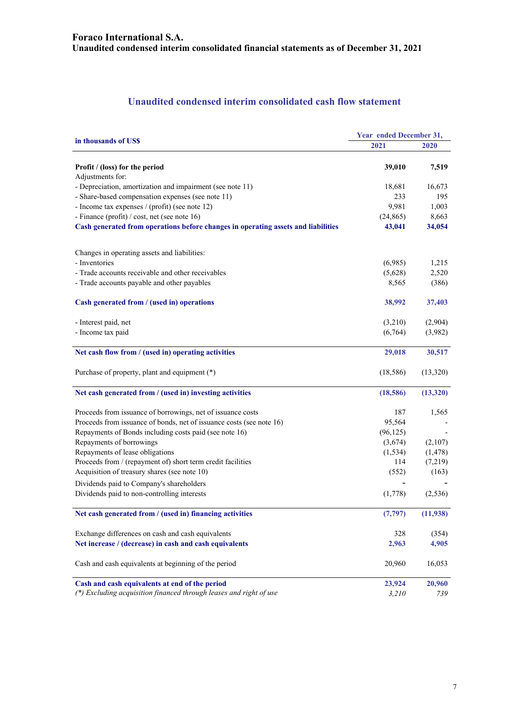## **Unaudited condensed interim consolidated cash flow statement**

|                                                                                   | Year ended December 31, |          |  |
|-----------------------------------------------------------------------------------|-------------------------|----------|--|
| in thousands of US\$                                                              | 2021                    | 2020     |  |
| Profit / (loss) for the period                                                    | 39,010                  | 7,519    |  |
| Adjustments for:                                                                  |                         |          |  |
| - Depreciation, amortization and impairment (see note 11)                         | 18,681                  | 16,673   |  |
| - Share-based compensation expenses (see note 11)                                 | 233                     | 195      |  |
| - Income tax expenses / (profit) (see note 12)                                    | 9,981                   | 1,003    |  |
| - Finance (profit) / cost, net (see note 16)                                      | (24, 865)               | 8,663    |  |
| Cash generated from operations before changes in operating assets and liabilities | 43,041                  | 34,054   |  |
| Changes in operating assets and liabilities:                                      |                         |          |  |
| - Inventories                                                                     | (6,985)                 | 1,215    |  |
| - Trade accounts receivable and other receivables                                 | (5,628)                 | 2,520    |  |
| - Trade accounts payable and other payables                                       | 8,565                   | (386)    |  |
| Cash generated from / (used in) operations                                        | 38,992                  | 37,403   |  |
| - Interest paid, net                                                              | (3,210)                 | (2,904)  |  |
| - Income tax paid                                                                 | (6,764)                 | (3,982)  |  |
| Net cash flow from / (used in) operating activities                               | 29,018                  | 30,517   |  |
| Purchase of property, plant and equipment (*)                                     | (18,586)                | (13,320) |  |
| Net cash generated from / (used in) investing activities                          | (18,586)                | (13,320) |  |
| Proceeds from issuance of borrowings, net of issuance costs                       | 187                     | 1,565    |  |
| Proceeds from issuance of bonds, net of issuance costs (see note 16)              | 95,564                  |          |  |
| Repayments of Bonds including costs paid (see note 16)                            | (96, 125)               |          |  |
| Repayments of borrowings                                                          | (3,674)                 | (2,107)  |  |
| Repayments of lease obligations                                                   | (1, 534)                | (1, 478) |  |
| Proceeds from / (repayment of) short term credit facilities                       | 114                     | (7,219)  |  |
| Acquisition of treasury shares (see note 10)                                      | (552)                   | (163)    |  |
| Dividends paid to Company's shareholders                                          |                         |          |  |
| Dividends paid to non-controlling interests                                       | (1,778)                 | (2, 536) |  |
| Net cash generated from / (used in) financing activities                          | (7, 797)                | (11,938) |  |
| Exchange differences on cash and cash equivalents                                 | 328                     | (354)    |  |
| Net increase / (decrease) in cash and cash equivalents                            | 2,963                   | 4,905    |  |
| Cash and cash equivalents at beginning of the period                              | 20,960                  | 16,053   |  |
| Cash and cash equivalents at end of the period                                    | 23,924                  | 20,960   |  |
| (*) Excluding acquisition financed through leases and right of use                | 3,210                   | 739      |  |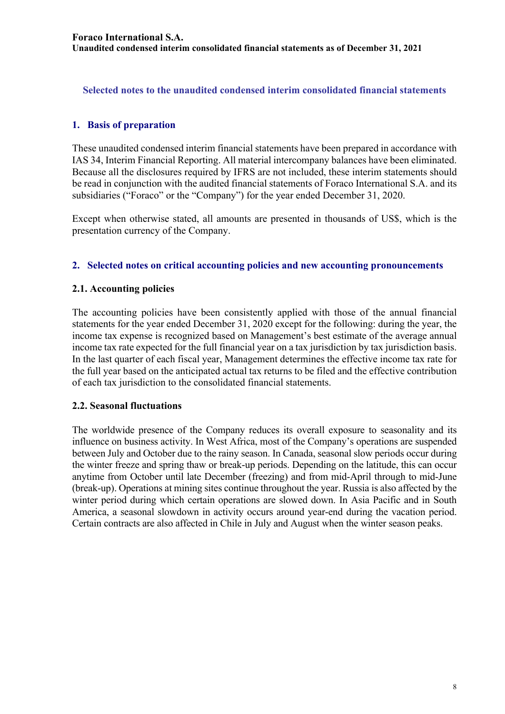**Selected notes to the unaudited condensed interim consolidated financial statements** 

## **1. Basis of preparation**

These unaudited condensed interim financial statements have been prepared in accordance with IAS 34, Interim Financial Reporting. All material intercompany balances have been eliminated. Because all the disclosures required by IFRS are not included, these interim statements should be read in conjunction with the audited financial statements of Foraco International S.A. and its subsidiaries ("Foraco" or the "Company") for the year ended December 31, 2020.

Except when otherwise stated, all amounts are presented in thousands of US\$, which is the presentation currency of the Company.

#### **2. Selected notes on critical accounting policies and new accounting pronouncements**

#### **2.1. Accounting policies**

The accounting policies have been consistently applied with those of the annual financial statements for the year ended December 31, 2020 except for the following: during the year, the income tax expense is recognized based on Management's best estimate of the average annual income tax rate expected for the full financial year on a tax jurisdiction by tax jurisdiction basis. In the last quarter of each fiscal year, Management determines the effective income tax rate for the full year based on the anticipated actual tax returns to be filed and the effective contribution of each tax jurisdiction to the consolidated financial statements.

#### **2.2. Seasonal fluctuations**

The worldwide presence of the Company reduces its overall exposure to seasonality and its influence on business activity. In West Africa, most of the Company's operations are suspended between July and October due to the rainy season. In Canada, seasonal slow periods occur during the winter freeze and spring thaw or break-up periods. Depending on the latitude, this can occur anytime from October until late December (freezing) and from mid-April through to mid-June (break-up). Operations at mining sites continue throughout the year. Russia is also affected by the winter period during which certain operations are slowed down. In Asia Pacific and in South America, a seasonal slowdown in activity occurs around year-end during the vacation period. Certain contracts are also affected in Chile in July and August when the winter season peaks.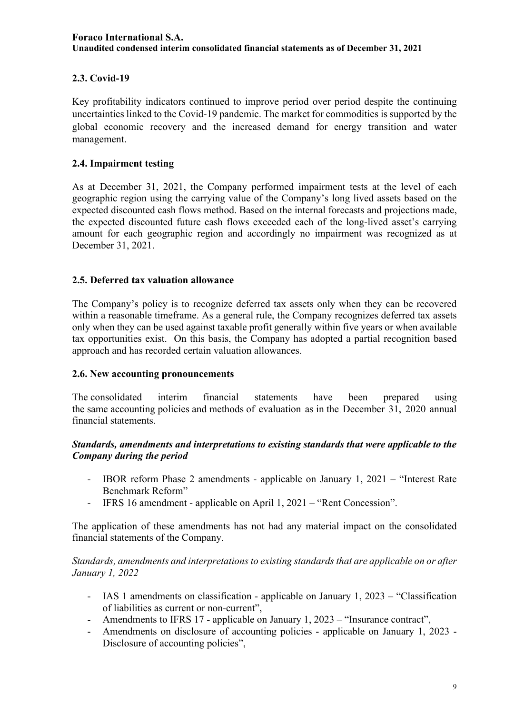## **2.3. Covid-19**

Key profitability indicators continued to improve period over period despite the continuing uncertainties linked to the Covid-19 pandemic. The market for commodities is supported by the global economic recovery and the increased demand for energy transition and water management.

## **2.4. Impairment testing**

As at December 31, 2021, the Company performed impairment tests at the level of each geographic region using the carrying value of the Company's long lived assets based on the expected discounted cash flows method. Based on the internal forecasts and projections made, the expected discounted future cash flows exceeded each of the long-lived asset's carrying amount for each geographic region and accordingly no impairment was recognized as at December 31, 2021.

#### **2.5. Deferred tax valuation allowance**

The Company's policy is to recognize deferred tax assets only when they can be recovered within a reasonable timeframe. As a general rule, the Company recognizes deferred tax assets only when they can be used against taxable profit generally within five years or when available tax opportunities exist. On this basis, the Company has adopted a partial recognition based approach and has recorded certain valuation allowances.

#### **2.6. New accounting pronouncements**

The consolidated interim financial statements have been prepared using the same accounting policies and methods of evaluation as in the December 31, 2020 annual financial statements.

#### *Standards, amendments and interpretations to existing standards that were applicable to the Company during the period*

- IBOR reform Phase 2 amendments applicable on January 1, 2021 "Interest Rate Benchmark Reform"
- IFRS 16 amendment applicable on April 1, 2021 "Rent Concession".

The application of these amendments has not had any material impact on the consolidated financial statements of the Company.

#### *Standards, amendments and interpretations to existing standards that are applicable on or after January 1, 2022*

- IAS 1 amendments on classification applicable on January 1, 2023 "Classification of liabilities as current or non-current",
- Amendments to IFRS 17 applicable on January 1, 2023 "Insurance contract",
- Amendments on disclosure of accounting policies applicable on January 1, 2023 Disclosure of accounting policies",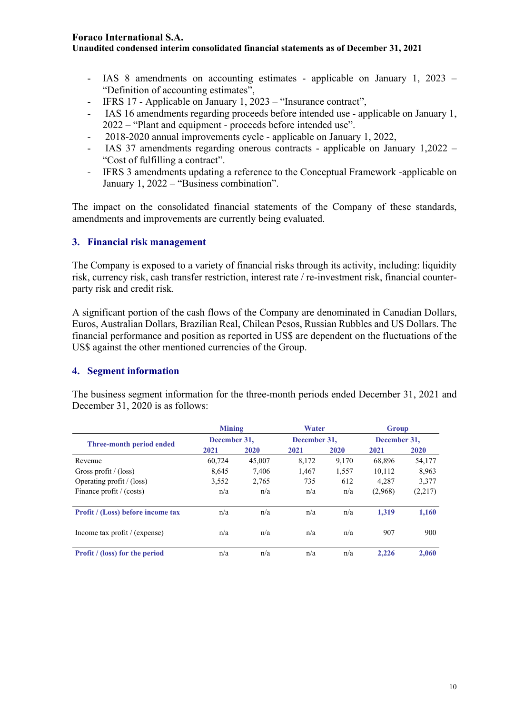**Unaudited condensed interim consolidated financial statements as of December 31, 2021** 

- IAS 8 amendments on accounting estimates applicable on January 1, 2023 "Definition of accounting estimates",
- IFRS 17 Applicable on January 1, 2023 "Insurance contract",
- IAS 16 amendments regarding proceeds before intended use applicable on January 1, 2022 – "Plant and equipment - proceeds before intended use".
- 2018-2020 annual improvements cycle applicable on January 1, 2022,
- IAS 37 amendments regarding onerous contracts applicable on January 1,2022 "Cost of fulfilling a contract".
- IFRS 3 amendments updating a reference to the Conceptual Framework -applicable on January 1, 2022 – "Business combination".

The impact on the consolidated financial statements of the Company of these standards, amendments and improvements are currently being evaluated.

#### **3. Financial risk management**

The Company is exposed to a variety of financial risks through its activity, including: liquidity risk, currency risk, cash transfer restriction, interest rate / re-investment risk, financial counterparty risk and credit risk.

A significant portion of the cash flows of the Company are denominated in Canadian Dollars, Euros, Australian Dollars, Brazilian Real, Chilean Pesos, Russian Rubbles and US Dollars. The financial performance and position as reported in US\$ are dependent on the fluctuations of the US\$ against the other mentioned currencies of the Group.

#### **4. Segment information**

The business segment information for the three-month periods ended December 31, 2021 and December 31, 2020 is as follows:

|                                          | <b>Mining</b> |        | Water        |       | Group        |         |
|------------------------------------------|---------------|--------|--------------|-------|--------------|---------|
| Three-month period ended                 | December 31.  |        | December 31. |       | December 31. |         |
|                                          | 2021          | 2020   | 2021         | 2020  | 2021         | 2020    |
| Revenue                                  | 60,724        | 45,007 | 8,172        | 9,170 | 68,896       | 54,177  |
| Gross profit / $(\text{loss})$           | 8.645         | 7.406  | 1.467        | 1,557 | 10,112       | 8,963   |
| Operating profit / (loss)                | 3,552         | 2,765  | 735          | 612   | 4,287        | 3,377   |
| Finance profit / (costs)                 | n/a           | n/a    | n/a          | n/a   | (2,968)      | (2,217) |
| <b>Profit / (Loss) before income tax</b> | n/a           | n/a    | n/a          | n/a   | 1.319        | 1,160   |
| Income tax profit / (expense)            | n/a           | n/a    | n/a          | n/a   | 907          | 900     |
| <b>Profit</b> / (loss) for the period    | n/a           | n/a    | n/a          | n/a   | 2.226        | 2,060   |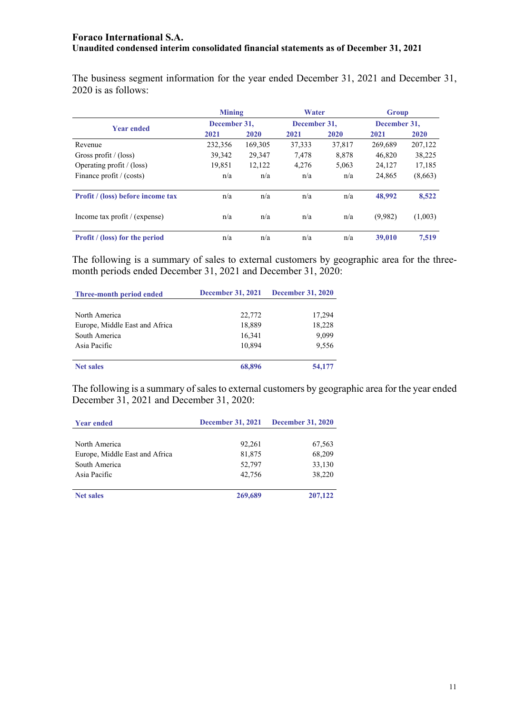The business segment information for the year ended December 31, 2021 and December 31, 2020 is as follows:

|                                       | <b>Mining</b> |              | Water  |              | <b>Group</b> |              |  |
|---------------------------------------|---------------|--------------|--------|--------------|--------------|--------------|--|
| <b>Year ended</b>                     |               | December 31, |        | December 31. |              | December 31. |  |
|                                       | 2021          | 2020         | 2021   | 2020         | 2021         | 2020         |  |
| Revenue                               | 232,356       | 169,305      | 37,333 | 37,817       | 269.689      | 207,122      |  |
| Gross profit $/$ (loss)               | 39,342        | 29,347       | 7,478  | 8,878        | 46,820       | 38,225       |  |
| Operating profit / (loss)             | 19,851        | 12,122       | 4,276  | 5,063        | 24,127       | 17,185       |  |
| Finance profit / (costs)              | n/a           | n/a          | n/a    | n/a          | 24,865       | (8,663)      |  |
| Profit / (loss) before income tax     | n/a           | n/a          | n/a    | n/a          | 48,992       | 8,522        |  |
| Income tax profit / (expense)         | n/a           | n/a          | n/a    | n/a          | (9,982)      | (1,003)      |  |
| <b>Profit</b> / (loss) for the period | n/a           | n/a          | n/a    | n/a          | 39,010       | 7.519        |  |

The following is a summary of sales to external customers by geographic area for the threemonth periods ended December 31, 2021 and December 31, 2020:

| Three-month period ended       | <b>December 31, 2021</b> | <b>December 31, 2020</b> |
|--------------------------------|--------------------------|--------------------------|
|                                |                          |                          |
| North America                  | 22,772                   | 17,294                   |
| Europe, Middle East and Africa | 18,889                   | 18,228                   |
| South America                  | 16,341                   | 9,099                    |
| Asia Pacific                   | 10.894                   | 9,556                    |
|                                |                          |                          |
| <b>Net sales</b>               | 68,896                   | 54,177                   |

The following is a summary of sales to external customers by geographic area for the year ended December 31, 2021 and December 31, 2020:

| <b>Year ended</b>              | <b>December 31, 2021</b> | <b>December 31, 2020</b> |
|--------------------------------|--------------------------|--------------------------|
|                                |                          |                          |
| North America                  | 92,261                   | 67,563                   |
| Europe, Middle East and Africa | 81,875                   | 68,209                   |
| South America                  | 52,797                   | 33,130                   |
| Asia Pacific                   | 42,756                   | 38,220                   |
| <b>Net sales</b>               | 269,689                  | 207,122                  |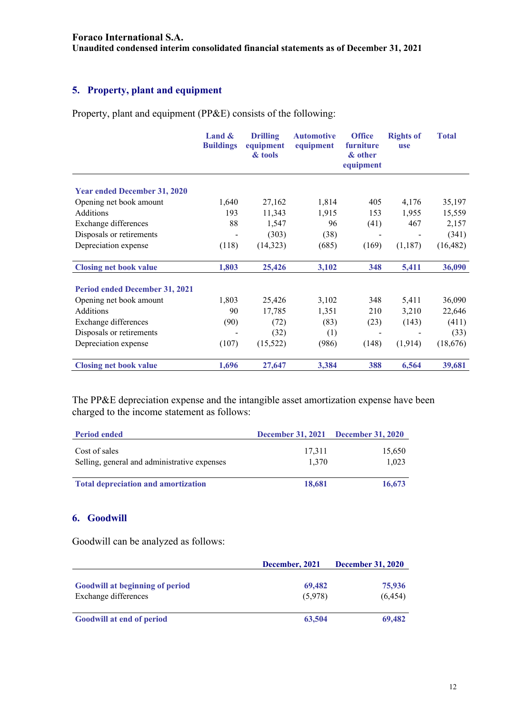**Unaudited condensed interim consolidated financial statements as of December 31, 2021** 

## **5. Property, plant and equipment**

Property, plant and equipment (PP&E) consists of the following:

|                                       | Land $\&$<br><b>Buildings</b> | <b>Drilling</b><br>equipment<br>& tools | <b>Automotive</b><br>equipment | <b>Office</b><br>furniture<br>& other<br>equipment | <b>Rights of</b><br>use | <b>Total</b> |
|---------------------------------------|-------------------------------|-----------------------------------------|--------------------------------|----------------------------------------------------|-------------------------|--------------|
| <b>Year ended December 31, 2020</b>   |                               |                                         |                                |                                                    |                         |              |
| Opening net book amount               | 1,640                         | 27,162                                  | 1,814                          | 405                                                | 4,176                   | 35,197       |
| Additions                             | 193                           | 11,343                                  | 1,915                          |                                                    | 1,955                   | 15,559       |
|                                       |                               |                                         |                                | 153                                                |                         |              |
| Exchange differences                  | 88                            | 1,547                                   | 96                             | (41)                                               | 467                     | 2,157        |
| Disposals or retirements              |                               | (303)                                   | (38)                           |                                                    |                         | (341)        |
| Depreciation expense                  | (118)                         | (14,323)                                | (685)                          | (169)                                              | (1,187)                 | (16, 482)    |
| <b>Closing net book value</b>         | 1,803                         | 25,426                                  | 3,102                          | 348                                                | 5,411                   | 36,090       |
| <b>Period ended December 31, 2021</b> |                               |                                         |                                |                                                    |                         |              |
| Opening net book amount               | 1,803                         | 25,426                                  | 3,102                          | 348                                                | 5,411                   | 36,090       |
| Additions                             | 90                            | 17,785                                  | 1,351                          | 210                                                | 3,210                   | 22,646       |
| Exchange differences                  | (90)                          | (72)                                    | (83)                           | (23)                                               | (143)                   | (411)        |
| Disposals or retirements              |                               | (32)                                    | (1)                            |                                                    |                         | (33)         |
| Depreciation expense                  | (107)                         | (15, 522)                               | (986)                          | (148)                                              | (1,914)                 | (18,676)     |
| <b>Closing net book value</b>         | 1,696                         | 27,647                                  | 3,384                          | 388                                                | 6,564                   | 39,681       |

The PP&E depreciation expense and the intangible asset amortization expense have been charged to the income statement as follows:

| <b>Period ended</b>                                           | December 31, 2021 December 31, 2020 |                 |
|---------------------------------------------------------------|-------------------------------------|-----------------|
| Cost of sales<br>Selling, general and administrative expenses | 17,311<br>1.370                     | 15,650<br>1.023 |
| <b>Total depreciation and amortization</b>                    | 18,681                              | 16,673          |

#### **6. Goodwill**

Goodwill can be analyzed as follows:

|                                        | December, 2021 | <b>December 31, 2020</b> |
|----------------------------------------|----------------|--------------------------|
|                                        |                |                          |
| <b>Goodwill at beginning of period</b> | 69,482         | 75,936                   |
| Exchange differences                   | (5,978)        | (6, 454)                 |
| <b>Goodwill at end of period</b>       | 63,504         | 69,482                   |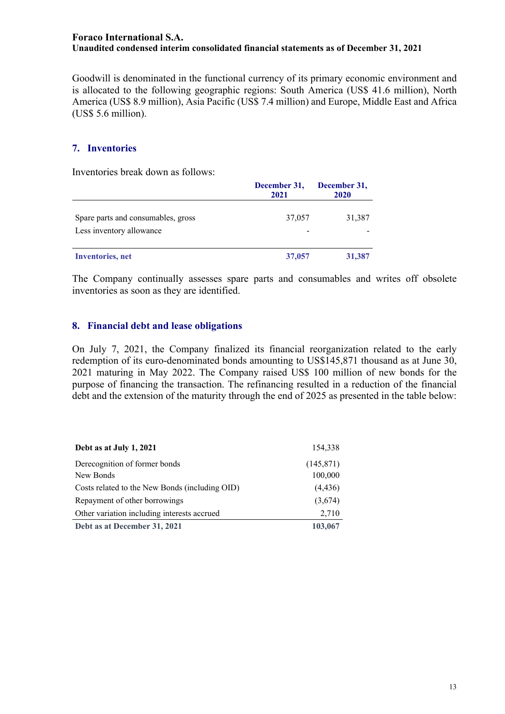Goodwill is denominated in the functional currency of its primary economic environment and is allocated to the following geographic regions: South America (US\$ 41.6 million), North America (US\$ 8.9 million), Asia Pacific (US\$ 7.4 million) and Europe, Middle East and Africa (US\$ 5.6 million).

#### **7. Inventories**

Inventories break down as follows:

|                                                                | December 31,<br>2021 | December 31,<br>2020 |
|----------------------------------------------------------------|----------------------|----------------------|
| Spare parts and consumables, gross<br>Less inventory allowance | 37,057               | 31,387               |
| <b>Inventories</b> , net                                       | 37,057               | 31,387               |

The Company continually assesses spare parts and consumables and writes off obsolete inventories as soon as they are identified.

#### **8. Financial debt and lease obligations**

On July 7, 2021, the Company finalized its financial reorganization related to the early redemption of its euro-denominated bonds amounting to US\$145,871 thousand as at June 30, 2021 maturing in May 2022. The Company raised US\$ 100 million of new bonds for the purpose of financing the transaction. The refinancing resulted in a reduction of the financial debt and the extension of the maturity through the end of 2025 as presented in the table below:

| Debt as at July 1, 2021                        | 154.338    |
|------------------------------------------------|------------|
| Derecognition of former bonds                  | (145, 871) |
| New Bonds                                      | 100,000    |
| Costs related to the New Bonds (including OID) | (4, 436)   |
| Repayment of other borrowings                  | (3,674)    |
| Other variation including interests accrued    | 2,710      |
| Debt as at December 31, 2021                   | 103,067    |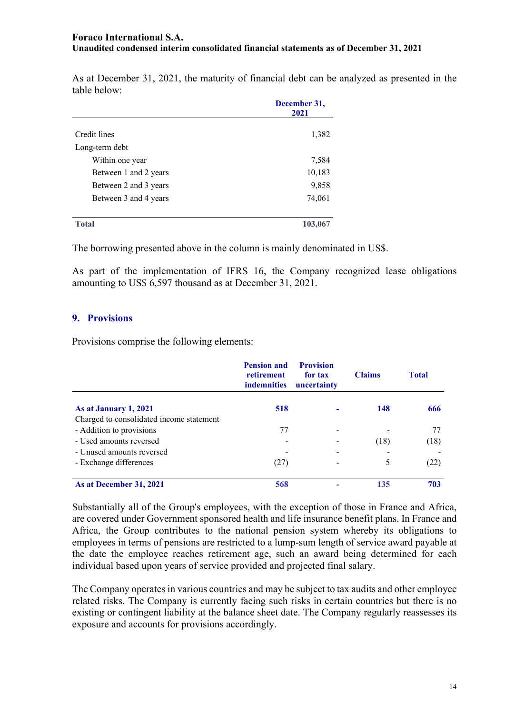As at December 31, 2021, the maturity of financial debt can be analyzed as presented in the table below:

|                       | December 31,<br>2021 |  |
|-----------------------|----------------------|--|
| Credit lines          | 1,382                |  |
| Long-term debt        |                      |  |
| Within one year       | 7,584                |  |
| Between 1 and 2 years | 10,183               |  |
| Between 2 and 3 years | 9,858                |  |
| Between 3 and 4 years | 74,061               |  |
| <b>Total</b>          | 103,067              |  |

The borrowing presented above in the column is mainly denominated in US\$.

As part of the implementation of IFRS 16, the Company recognized lease obligations amounting to US\$ 6,597 thousand as at December 31, 2021.

#### **9. Provisions**

Provisions comprise the following elements:

|                                          | <b>Pension and</b><br>retirement<br><i>indemnities</i> | <b>Provision</b><br>for tax<br>uncertainty | <b>Claims</b> | <b>Total</b> |
|------------------------------------------|--------------------------------------------------------|--------------------------------------------|---------------|--------------|
| As at January 1, 2021                    | 518                                                    |                                            | 148           | 666          |
| Charged to consolidated income statement |                                                        |                                            |               |              |
| - Addition to provisions                 | 77                                                     |                                            |               |              |
| - Used amounts reversed                  |                                                        |                                            | (18)          | (18)         |
| - Unused amounts reversed                |                                                        |                                            |               |              |
| - Exchange differences                   | (27)                                                   |                                            | 5             | (22)         |
| As at December 31, 2021                  | 568                                                    |                                            | 135           | 703          |

Substantially all of the Group's employees, with the exception of those in France and Africa, are covered under Government sponsored health and life insurance benefit plans. In France and Africa, the Group contributes to the national pension system whereby its obligations to employees in terms of pensions are restricted to a lump-sum length of service award payable at the date the employee reaches retirement age, such an award being determined for each individual based upon years of service provided and projected final salary.

The Company operates in various countries and may be subject to tax audits and other employee related risks. The Company is currently facing such risks in certain countries but there is no existing or contingent liability at the balance sheet date. The Company regularly reassesses its exposure and accounts for provisions accordingly.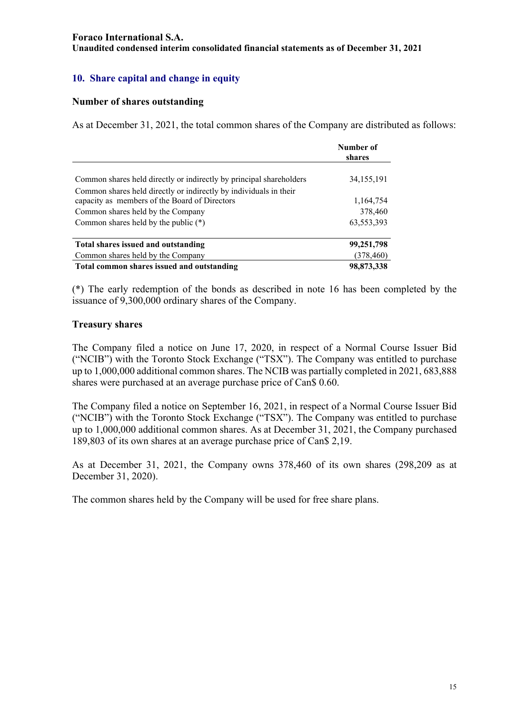## **10. Share capital and change in equity**

#### **Number of shares outstanding**

As at December 31, 2021, the total common shares of the Company are distributed as follows:

|                                                                     | Number of<br>shares |
|---------------------------------------------------------------------|---------------------|
|                                                                     |                     |
| Common shares held directly or indirectly by principal shareholders | 34, 155, 191        |
| Common shares held directly or indirectly by individuals in their   |                     |
| capacity as members of the Board of Directors                       | 1,164,754           |
| Common shares held by the Company                                   | 378,460             |
| Common shares held by the public $(*)$                              | 63,553,393          |
| Total shares issued and outstanding                                 | 99,251,798          |
| Common shares held by the Company                                   | (378, 460)          |
| Total common shares issued and outstanding                          | 98,873,338          |

(\*) The early redemption of the bonds as described in note 16 has been completed by the issuance of 9,300,000 ordinary shares of the Company.

#### **Treasury shares**

The Company filed a notice on June 17, 2020, in respect of a Normal Course Issuer Bid ("NCIB") with the Toronto Stock Exchange ("TSX"). The Company was entitled to purchase up to 1,000,000 additional common shares. The NCIB was partially completed in 2021, 683,888 shares were purchased at an average purchase price of Can\$ 0.60.

The Company filed a notice on September 16, 2021, in respect of a Normal Course Issuer Bid ("NCIB") with the Toronto Stock Exchange ("TSX"). The Company was entitled to purchase up to 1,000,000 additional common shares. As at December 31, 2021, the Company purchased 189,803 of its own shares at an average purchase price of Can\$ 2,19.

As at December 31, 2021, the Company owns 378,460 of its own shares (298,209 as at December 31, 2020).

The common shares held by the Company will be used for free share plans.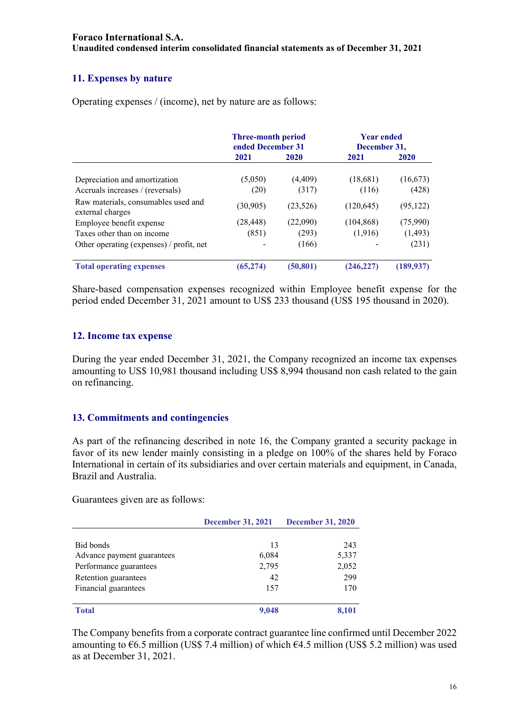## **11. Expenses by nature**

Operating expenses / (income), net by nature are as follows:

|                                                         | <b>Three-month period</b><br>ended December 31 |           | <b>Year ended</b><br>December 31, |           |
|---------------------------------------------------------|------------------------------------------------|-----------|-----------------------------------|-----------|
|                                                         | 2021                                           | 2020      | 2021                              | 2020      |
| Depreciation and amortization                           | (5,050)                                        | (4, 409)  | (18,681)                          | (16, 673) |
| Accruals increases / (reversals)                        | (20)                                           | (317)     | (116)                             | (428)     |
| Raw materials, consumables used and<br>external charges | (30, 905)                                      | (23, 526) | (120, 645)                        | (95, 122) |
| Employee benefit expense                                | (28, 448)                                      | (22,090)  | (104, 868)                        | (75,990)  |
| Taxes other than on income                              | (851)                                          | (293)     | (1,916)                           | (1, 493)  |
| Other operating (expenses) / profit, net                |                                                | (166)     |                                   | (231)     |
| <b>Total operating expenses</b>                         | (65, 274)                                      | (50, 801) | (246.227                          | (189.937) |

Share-based compensation expenses recognized within Employee benefit expense for the period ended December 31, 2021 amount to US\$ 233 thousand (US\$ 195 thousand in 2020).

#### **12. Income tax expense**

During the year ended December 31, 2021, the Company recognized an income tax expenses amounting to US\$ 10,981 thousand including US\$ 8,994 thousand non cash related to the gain on refinancing.

## **13. Commitments and contingencies**

As part of the refinancing described in note 16, the Company granted a security package in favor of its new lender mainly consisting in a pledge on 100% of the shares held by Foraco International in certain of its subsidiaries and over certain materials and equipment, in Canada, Brazil and Australia.

Guarantees given are as follows:

|                            | <b>December 31, 2021</b> | <b>December 31, 2020</b> |  |
|----------------------------|--------------------------|--------------------------|--|
|                            |                          |                          |  |
| Bid bonds                  | 13                       | 243                      |  |
| Advance payment guarantees | 6,084                    | 5,337                    |  |
| Performance guarantees     | 2,795                    | 2,052                    |  |
| Retention guarantees       | 42                       | 299                      |  |
| Financial guarantees       | 157                      | 170                      |  |
| <b>Total</b>               | 9,048                    | 8,101                    |  |

The Company benefits from a corporate contract guarantee line confirmed until December 2022 amounting to  $\epsilon$ 6.5 million (US\$ 7.4 million) of which  $\epsilon$ 4.5 million (US\$ 5.2 million) was used as at December 31, 2021.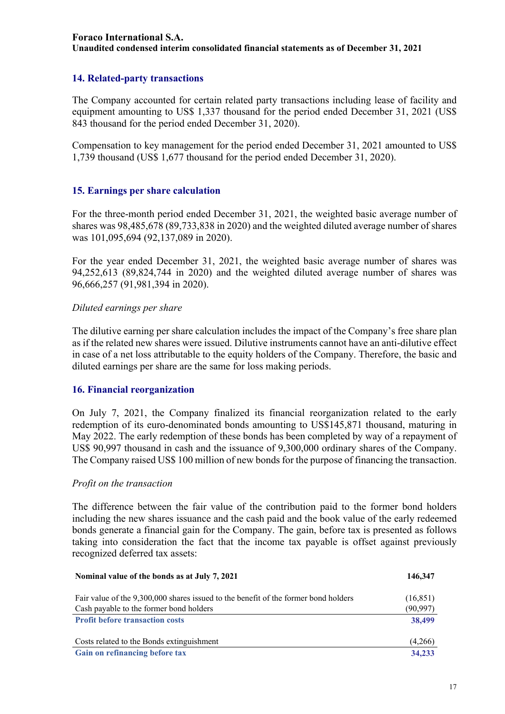## **14. Related-party transactions**

The Company accounted for certain related party transactions including lease of facility and equipment amounting to US\$ 1,337 thousand for the period ended December 31, 2021 (US\$ 843 thousand for the period ended December 31, 2020).

Compensation to key management for the period ended December 31, 2021 amounted to US\$ 1,739 thousand (US\$ 1,677 thousand for the period ended December 31, 2020).

#### **15. Earnings per share calculation**

For the three-month period ended December 31, 2021, the weighted basic average number of shares was 98,485,678 (89,733,838 in 2020) and the weighted diluted average number of shares was 101,095,694 (92,137,089 in 2020).

For the year ended December 31, 2021, the weighted basic average number of shares was 94,252,613 (89,824,744 in 2020) and the weighted diluted average number of shares was 96,666,257 (91,981,394 in 2020).

#### *Diluted earnings per share*

The dilutive earning per share calculation includes the impact of the Company's free share plan as if the related new shares were issued. Dilutive instruments cannot have an anti-dilutive effect in case of a net loss attributable to the equity holders of the Company. Therefore, the basic and diluted earnings per share are the same for loss making periods.

#### **16. Financial reorganization**

On July 7, 2021, the Company finalized its financial reorganization related to the early redemption of its euro-denominated bonds amounting to US\$145,871 thousand, maturing in May 2022. The early redemption of these bonds has been completed by way of a repayment of US\$ 90,997 thousand in cash and the issuance of 9,300,000 ordinary shares of the Company. The Company raised US\$ 100 million of new bonds for the purpose of financing the transaction.

#### *Profit on the transaction*

The difference between the fair value of the contribution paid to the former bond holders including the new shares issuance and the cash paid and the book value of the early redeemed bonds generate a financial gain for the Company. The gain, before tax is presented as follows taking into consideration the fact that the income tax payable is offset against previously recognized deferred tax assets:

| Nominal value of the bonds as at July 7, 2021                                       | 146,347   |
|-------------------------------------------------------------------------------------|-----------|
| Fair value of the 9,300,000 shares issued to the benefit of the former bond holders | (16, 851) |
| Cash payable to the former bond holders                                             | (90, 997) |
| <b>Profit before transaction costs</b>                                              | 38,499    |
|                                                                                     |           |
| Costs related to the Bonds extinguishment                                           | (4,266)   |
| Gain on refinancing before tax                                                      | 34,233    |